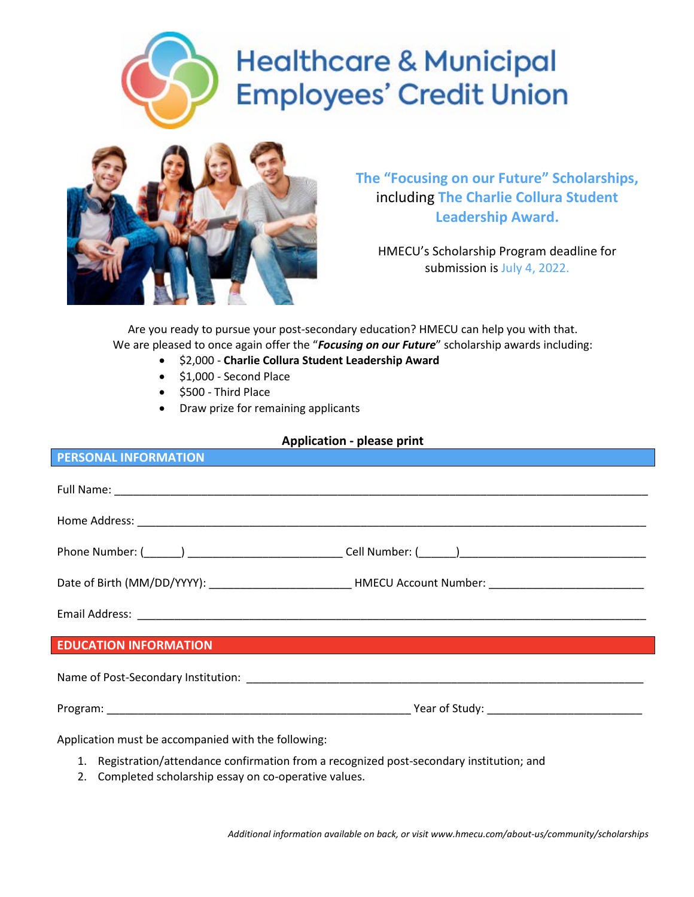# **Healthcare & Municipal Employees' Credit Union**



**The "Focusing on our Future" Scholarships,** including **The Charlie Collura Student Leadership Award.**

HMECU's Scholarship Program deadline for submission is July 4, 2022.

Are you ready to pursue your post‐secondary education? HMECU can help you with that. We are pleased to once again offer the "*Focusing on our Future*" scholarship awards including:

- \$2,000 **Charlie Collura Student Leadership Award**
- \$1,000 Second Place
- \$500 Third Place
- Draw prize for remaining applicants

## **Application - please print**

| <b>PERSONAL INFORMATION</b>                                                                                                                                                                                                                                                                                                                                                                 |
|---------------------------------------------------------------------------------------------------------------------------------------------------------------------------------------------------------------------------------------------------------------------------------------------------------------------------------------------------------------------------------------------|
|                                                                                                                                                                                                                                                                                                                                                                                             |
|                                                                                                                                                                                                                                                                                                                                                                                             |
|                                                                                                                                                                                                                                                                                                                                                                                             |
|                                                                                                                                                                                                                                                                                                                                                                                             |
|                                                                                                                                                                                                                                                                                                                                                                                             |
| <b>EDUCATION INFORMATION</b><br>a de la construcción de la construcción de la construcción de la construcción de la construcción de la construcció<br>En la construcción de la construcción de la construcción de la construcción de la construcción de la constr                                                                                                                           |
|                                                                                                                                                                                                                                                                                                                                                                                             |
|                                                                                                                                                                                                                                                                                                                                                                                             |
| Application must be accompanied with the following:<br>1. Registration/attendance confirmation from a recognized post-secondary institution; and<br>$\mathbf{r} = \mathbf{r}$ , and the set of the set of the set of the set of the set of the set of the set of the set of the set of the set of the set of the set of the set of the set of the set of the set of the set of the set of t |

2. Completed scholarship essay on co-operative values.